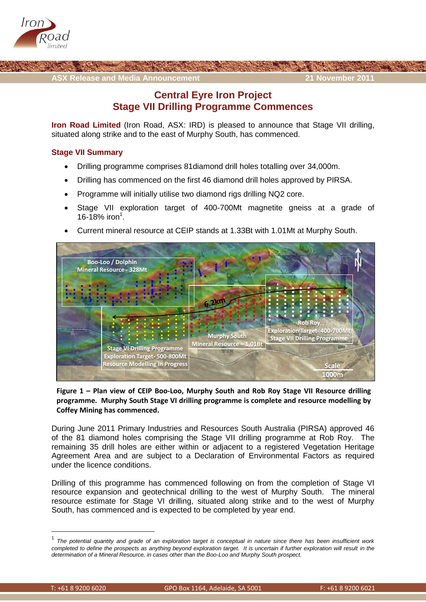



## **Central Eyre Iron Project Stage VII Drilling Programme Commences**

**Iron Road Limited** (Iron Road, ASX: IRD) is pleased to announce that Stage VII drilling, situated along strike and to the east of Murphy South, has commenced.

## **Stage VII Summary**

- Drilling programme comprises 81diamond drill holes totalling over 34,000m.
- Drilling has commenced on the first 46 diamond drill holes approved by PIRSA.
- Programme will initially utilise two diamond rigs drilling NQ2 core.
- Stage VII exploration target of 400-700Mt magnetite gneiss at a grade of 16-18% iron<sup>1</sup>.
- Current mineral resource at CEIP stands at 1.33Bt with 1.01Mt at Murphy South.



**Figure 1 – Plan view of CEIP Boo-Loo, Murphy South and Rob Roy Stage VII Resource drilling programme. Murphy South Stage VI drilling programme is complete and resource modelling by Coffey Mining has commenced.**

During June 2011 Primary Industries and Resources South Australia (PIRSA) approved 46 of the 81 diamond holes comprising the Stage VII drilling programme at Rob Roy. The remaining 35 drill holes are either within or adjacent to a registered Vegetation Heritage Agreement Area and are subject to a Declaration of Environmental Factors as required under the licence conditions.

Drilling of this programme has commenced following on from the completion of Stage VI resource expansion and geotechnical drilling to the west of Murphy South. The mineral resource estimate for Stage VI drilling, situated along strike and to the west of Murphy South, has commenced and is expected to be completed by year end.

 1 *The potential quantity and grade of an exploration target is conceptual in nature since there has been insufficient work*  completed to define the prospects as anything beyond exploration target. It is uncertain if further exploration will result in the *determination of a Mineral Resource, in cases other than the Boo-Loo and Murphy South prospect.*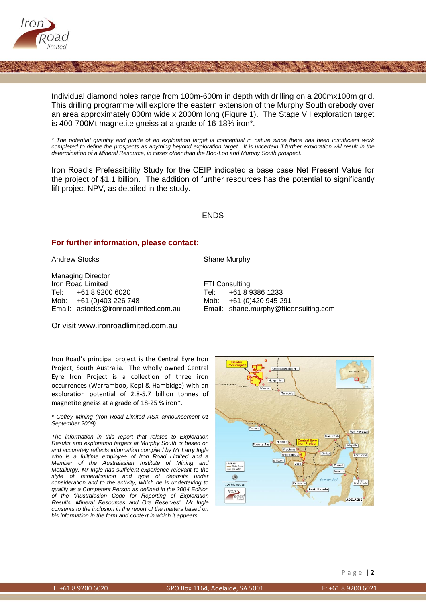

Individual diamond holes range from 100m-600m in depth with drilling on a 200mx100m grid. This drilling programme will explore the eastern extension of the Murphy South orebody over an area approximately 800m wide x 2000m long (Figure 1). The Stage VII exploration target is 400-700Mt magnetite gneiss at a grade of 16-18% iron\*.

*\* The potential quantity and grade of an exploration target is conceptual in nature since there has been insufficient work completed to define the prospects as anything beyond exploration target. It is uncertain if further exploration will result in the determination of a Mineral Resource, in cases other than the Boo-Loo and Murphy South prospect.*

Iron Road's Prefeasibility Study for the CEIP indicated a base case Net Present Value for the project of \$1.1 billion. The addition of further resources has the potential to significantly lift project NPV, as detailed in the study.

 $-$  FNDS  $-$ 

## **For further information, please contact:**

Andrew Stocks Shane Murphy

Managing Director **Iron Road Limited FTI Consulting** Tel: +61 8 9200 6020 Tel: +61 8 9386 1233 Mob: +61 (0)403 226 748 Mob: +61 (0)420 945 291

Email: [astocks@ironroadlimited.com.au](mailto:astocks@ironroadlimited.com.au) Email: [shane.murphy@fticonsulting.com](mailto:shane.murphy@fticonsulting.com)

Or visit [www.ironroadlimited.com.au](http://www.ironroadlimited.com.au/)

Iron Road's principal project is the Central Eyre Iron Project, South Australia. The wholly owned Central Eyre Iron Project is a collection of three iron occurrences (Warramboo, Kopi & Hambidge) with an exploration potential of 2.8-5.7 billion tonnes of magnetite gneiss at a grade of 18-25 % iron\*.

*\* Coffey Mining (Iron Road Limited ASX announcement 01 September 2009).*

*The information in this report that relates to Exploration Results and exploration targets at Murphy South is based on and accurately reflects information compiled by Mr Larry Ingle who is a fulltime employee of Iron Road Limited and a Member of the Australasian Institute of Mining and Metallurgy. Mr Ingle has sufficient experience relevant to the style of mineralisation and type of deposits under consideration and to the activity, which he is undertaking to qualify as a Competent Person as defined in the 2004 Edition of the "Australasian Code for Reporting of Exploration Results, Mineral Resources and Ore Reserves". Mr Ingle consents to the inclusion in the report of the matters based on his information in the form and context in which it appears.*